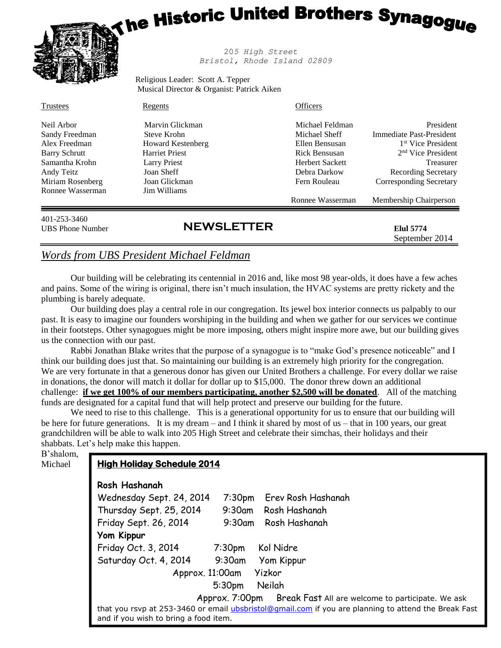# <sub>i he</sub> Historic United Brothers Synagog<sub>ue</sub>



 20*5 High Street Bristol, Rhode Island 02809*

Religious Leader: Scott A. Tepper Musical Director & Organist: Patrick Aiken

| 401-253-3460<br><b>UBS</b> Phone Number | <b>NEWSLETTER</b>        |                        | <b>Elul</b> 5774<br>September 2014 |
|-----------------------------------------|--------------------------|------------------------|------------------------------------|
|                                         |                          | Ronnee Wasserman       | Membership Chairperson             |
| Ronnee Wasserman                        | Jim Williams             |                        |                                    |
| Miriam Rosenberg                        | Joan Glickman            | Fern Rouleau           | Corresponding Secretary            |
| Andy Teitz                              | Joan Sheff               | Debra Darkow           | <b>Recording Secretary</b>         |
| Samantha Krohn                          | <b>Larry Priest</b>      | <b>Herbert Sackett</b> | <b>Treasurer</b>                   |
| <b>Barry Schrutt</b>                    | <b>Harriet Priest</b>    | Rick Bensusan          | 2 <sup>nd</sup> Vice President     |
| Alex Freedman                           | <b>Howard Kestenberg</b> | Ellen Bensusan         | 1 <sup>st</sup> Vice President     |
| Sandy Freedman                          | Steve Krohn              | Michael Sheff          | Immediate Past-President           |
| Neil Arbor                              | Marvin Glickman          | Michael Feldman        | President                          |
| Trustees                                | Regents                  | <b>Officers</b>        |                                    |

# *Words from UBS President Michael Feldman*

Our building will be celebrating its centennial in 2016 and, like most 98 year-olds, it does have a few aches and pains. Some of the wiring is original, there isn't much insulation, the HVAC systems are pretty rickety and the plumbing is barely adequate.

Our building does play a central role in our congregation. Its jewel box interior connects us palpably to our past. It is easy to imagine our founders worshiping in the building and when we gather for our services we continue in their footsteps. Other synagogues might be more imposing, others might inspire more awe, but our building gives us the connection with our past.

Rabbi Jonathan Blake writes that the purpose of a synagogue is to "make God's presence noticeable" and I think our building does just that. So maintaining our building is an extremely high priority for the congregation. We are very fortunate in that a generous donor has given our United Brothers a challenge. For every dollar we raise in donations, the donor will match it dollar for dollar up to \$15,000. The donor threw down an additional challenge: **if we get 100% of our members participating, another \$2,500 will be donated**. All of the matching funds are designated for a capital fund that will help protect and preserve our building for the future.

We need to rise to this challenge. This is a generational opportunity for us to ensure that our building will be here for future generations. It is my dream – and I think it shared by most of us – that in 100 years, our great grandchildren will be able to walk into 205 High Street and celebrate their simchas, their holidays and their shabbats. Let's help make this happen.

B'shalom, Michael

# **High Holiday Schedule 2014**

# **Rosh Hashanah**

| Wednesday Sept. 24, 2014                                                                                                                             |                    | 7:30pm Erev Rosh Hashanah |  |  |
|------------------------------------------------------------------------------------------------------------------------------------------------------|--------------------|---------------------------|--|--|
| Thursday Sept. 25, 2014                                                                                                                              |                    | 9:30am Rosh Hashanah      |  |  |
| Friday Sept. 26, 2014                                                                                                                                |                    | 9:30am Rosh Hashanah      |  |  |
| Yom Kippur                                                                                                                                           |                    |                           |  |  |
| Friday Oct. 3, 2014                                                                                                                                  | 7:30 <sub>pm</sub> | Kol Nidre                 |  |  |
| Saturday Oct. 4, 2014                                                                                                                                | 9:30am             | Yom Kippur                |  |  |
| Yizkor<br>Approx. 11:00am                                                                                                                            |                    |                           |  |  |
| Neilah<br>5:30 <sub>pm</sub>                                                                                                                         |                    |                           |  |  |
| Approx. 7:00pm Break Fast All are welcome to participate. We ask                                                                                     |                    |                           |  |  |
| that you rsvp at 253-3460 or email <i>ubsbristol@gmail.com</i> if you are planning to attend the Break Fast<br>and if you wish to bring a food item. |                    |                           |  |  |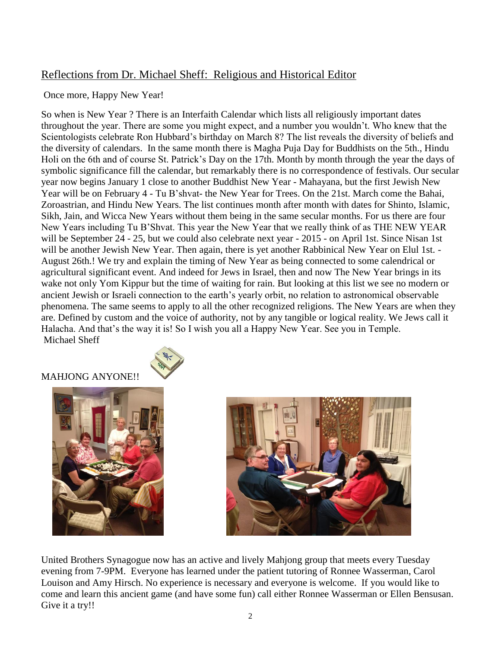# Reflections from Dr. Michael Sheff: Religious and Historical Editor

Once more, Happy New Year!

So when is New Year ? There is an Interfaith Calendar which lists all religiously important dates throughout the year. There are some you might expect, and a number you wouldn't. Who knew that the Scientologists celebrate Ron Hubbard's birthday on March 8? The list reveals the diversity of beliefs and the diversity of calendars. In the same month there is Magha Puja Day for Buddhists on the 5th., Hindu Holi on the 6th and of course St. Patrick's Day on the 17th. Month by month through the year the days of symbolic significance fill the calendar, but remarkably there is no correspondence of festivals. Our secular year now begins January 1 close to another Buddhist New Year - Mahayana, but the first Jewish New Year will be on February 4 - Tu B'shvat- the New Year for Trees. On the 21st. March come the Bahai, Zoroastrian, and Hindu New Years. The list continues month after month with dates for Shinto, Islamic, Sikh, Jain, and Wicca New Years without them being in the same secular months. For us there are four New Years including Tu B'Shvat. This year the New Year that we really think of as THE NEW YEAR will be September 24 - 25, but we could also celebrate next year - 2015 - on April 1st. Since Nisan 1st will be another Jewish New Year. Then again, there is yet another Rabbinical New Year on Elul 1st. -August 26th.! We try and explain the timing of New Year as being connected to some calendrical or agricultural significant event. And indeed for Jews in Israel, then and now The New Year brings in its wake not only Yom Kippur but the time of waiting for rain. But looking at this list we see no modern or ancient Jewish or Israeli connection to the earth's yearly orbit, no relation to astronomical observable phenomena. The same seems to apply to all the other recognized religions. The New Years are when they are. Defined by custom and the voice of authority, not by any tangible or logical reality. We Jews call it Halacha. And that's the way it is! So I wish you all a Happy New Year. See you in Temple. Michael Sheff

# MAHJONG ANYONE!!





United Brothers Synagogue now has an active and lively Mahjong group that meets every Tuesday evening from 7-9PM. Everyone has learned under the patient tutoring of Ronnee Wasserman, Carol Louison and Amy Hirsch. No experience is necessary and everyone is welcome. If you would like to come and learn this ancient game (and have some fun) call either Ronnee Wasserman or Ellen Bensusan. Give it a try!!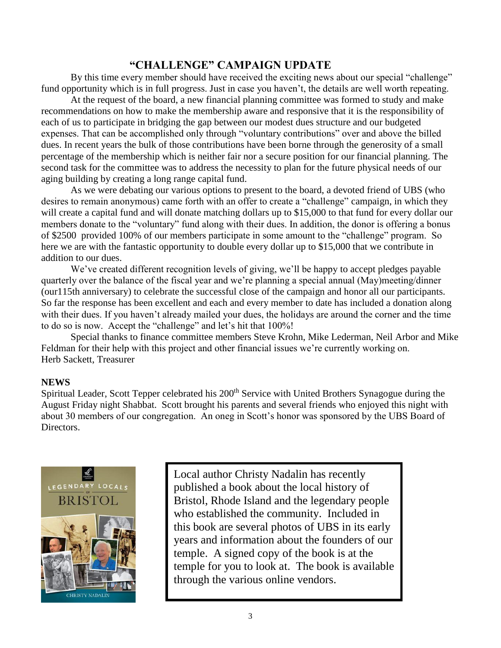# **"CHALLENGE" CAMPAIGN UPDATE**

By this time every member should have received the exciting news about our special "challenge" fund opportunity which is in full progress. Just in case you haven't, the details are well worth repeating.

At the request of the board, a new financial planning committee was formed to study and make recommendations on how to make the membership aware and responsive that it is the responsibility of each of us to participate in bridging the gap between our modest dues structure and our budgeted expenses. That can be accomplished only through "voluntary contributions" over and above the billed dues. In recent years the bulk of those contributions have been borne through the generosity of a small percentage of the membership which is neither fair nor a secure position for our financial planning. The second task for the committee was to address the necessity to plan for the future physical needs of our aging building by creating a long range capital fund.

As we were debating our various options to present to the board, a devoted friend of UBS (who desires to remain anonymous) came forth with an offer to create a "challenge" campaign, in which they will create a capital fund and will donate matching dollars up to \$15,000 to that fund for every dollar our members donate to the "voluntary" fund along with their dues. In addition, the donor is offering a bonus of \$2500 provided 100% of our members participate in some amount to the "challenge" program. So here we are with the fantastic opportunity to double every dollar up to \$15,000 that we contribute in addition to our dues.

We've created different recognition levels of giving, we'll be happy to accept pledges payable quarterly over the balance of the fiscal year and we're planning a special annual (May)meeting/dinner (our115th anniversary) to celebrate the successful close of the campaign and honor all our participants. So far the response has been excellent and each and every member to date has included a donation along with their dues. If you haven't already mailed your dues, the holidays are around the corner and the time to do so is now. Accept the "challenge" and let's hit that 100%!

Special thanks to finance committee members Steve Krohn, Mike Lederman, Neil Arbor and Mike Feldman for their help with this project and other financial issues we're currently working on. Herb Sackett, Treasurer

#### **NEWS**

Spiritual Leader, Scott Tepper celebrated his 200<sup>th</sup> Service with United Brothers Synagogue during the August Friday night Shabbat. Scott brought his parents and several friends who enjoyed this night with about 30 members of our congregation. An oneg in Scott's honor was sponsored by the UBS Board of Directors.



Local author Christy Nadalin has recently published a book about the local history of Bristol, Rhode Island and the legendary people who established the community. Included in this book are several photos of UBS in its early years and information about the founders of our temple. A signed copy of the book is at the temple for you to look at. The book is available through the various online vendors.